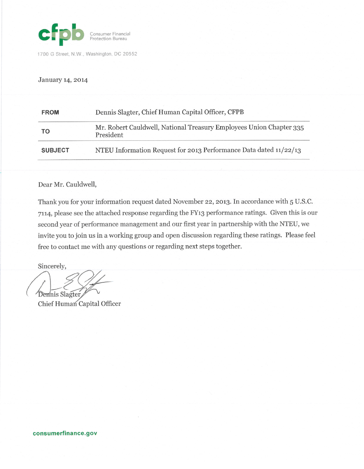

1700 G Street, N.W., Washington, DC 20552

#### January 14, 2014

| <b>FROM</b>    | Dennis Slagter, Chief Human Capital Officer, CFPB                                |  |  |  |  |  |
|----------------|----------------------------------------------------------------------------------|--|--|--|--|--|
| TO             | Mr. Robert Cauldwell, National Treasury Employees Union Chapter 335<br>President |  |  |  |  |  |
| <b>SUBJECT</b> | NTEU Information Request for 2013 Performance Data dated 11/22/13                |  |  |  |  |  |

### Dear Mr. Cauldwell,

Thank you for your information request dated November 22, 2013. In accordance with 5 U.S.C. 7114, please see the attached response regarding the FY13 performance ratings. Given this is our second year of performance management and our first year in partnership with the NTEU, we invite you to join us in a working group and open discussion regarding these ratings. Please feel free to contact me with any questions or regarding next steps together.

Sincerely,

Dennis Slagter

Chief Human Capital Officer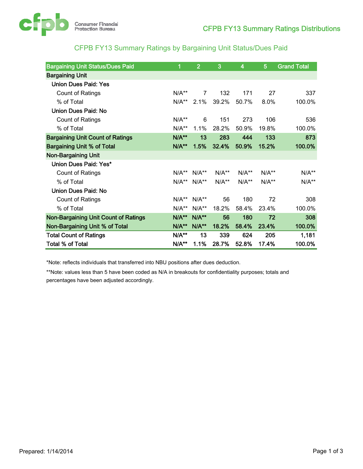

## CFPB FY13 Summary Ratings by Bargaining Unit Status/Dues Paid

| <b>Bargaining Unit Status/Dues Paid</b>     | 1          | $\overline{2}$        | 3       | $\overline{\mathbf{4}}$ | 5       | <b>Grand Total</b> |
|---------------------------------------------|------------|-----------------------|---------|-------------------------|---------|--------------------|
| <b>Bargaining Unit</b>                      |            |                       |         |                         |         |                    |
| <b>Union Dues Paid: Yes</b>                 |            |                       |         |                         |         |                    |
| Count of Ratings                            | $N/A**$    | $\overline{7}$        | 132     | 171                     | 27      | 337                |
| % of Total                                  |            | 2.1%                  | 39.2%   | 50.7%                   | 8.0%    | 100.0%             |
| Union Dues Paid: No                         |            |                       |         |                         |         |                    |
| Count of Ratings                            | $N/A**$    | 6                     | 151     | 273                     | 106     | 536                |
| % of Total                                  | $N/A**$    | 1.1%                  | 28.2%   | 50.9%                   | 19.8%   | 100.0%             |
| <b>Bargaining Unit Count of Ratings</b>     | $N/A**$    | 13                    | 283     | 444                     | 133     | 873                |
| <b>Bargaining Unit % of Total</b>           | $N/A**$    | 1.5%                  | 32.4%   | 50.9%                   | 15.2%   | 100.0%             |
| <b>Non-Bargaining Unit</b>                  |            |                       |         |                         |         |                    |
| Union Dues Paid: Yes*                       |            |                       |         |                         |         |                    |
| Count of Ratings                            |            | $N/A^{**}$ $N/A^{**}$ | $N/A**$ | $N/A**$                 | $N/A**$ | $N/A**$            |
| % of Total                                  | $N/A^{**}$ | $N/A**$               | $N/A**$ | $N/A**$                 | $N/A**$ | $N/A**$            |
| <b>Union Dues Paid: No</b>                  |            |                       |         |                         |         |                    |
| <b>Count of Ratings</b>                     | $N/A**$    | $N/A^{**}$            | 56      | 180                     | 72      | 308                |
| % of Total                                  | $N/A**$    | $N/A**$               | 18.2%   | 58.4%                   | 23.4%   | 100.0%             |
| <b>Non-Bargaining Unit Count of Ratings</b> | $N/A**$    | <b>N/A**</b>          | 56      | 180                     | 72      | 308                |
| Non-Bargaining Unit % of Total              | $N/A**$    | $N/A**$               | 18.2%   | 58.4%                   | 23.4%   | 100.0%             |
| <b>Total Count of Ratings</b>               | $N/A**$    | 13                    | 339     | 624                     | 205     | 1,181              |
| <b>Total % of Total</b>                     | $N/A**$    | 1.1%                  | 28.7%   | 52.8%                   | 17.4%   | 100.0%             |

\*Note: reflects individuals that transferred into NBU positions after dues deduction.

\*\*Note: values less than 5 have been coded as N/A in breakouts for confidentiality purposes; totals and percentages have been adjusted accordingly.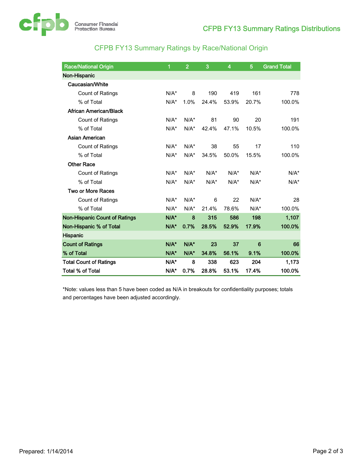

# CFPB FY13 Summary Ratings by Race/National Origin

| <b>Race/National Origin</b>          | 1       | $\overline{2}$     | 3       | 4       | 5       | <b>Grand Total</b> |
|--------------------------------------|---------|--------------------|---------|---------|---------|--------------------|
| Non-Hispanic                         |         |                    |         |         |         |                    |
| Caucasian/White                      |         |                    |         |         |         |                    |
| <b>Count of Ratings</b>              | $N/A^*$ | 8                  | 190     | 419     | 161     | 778                |
| % of Total                           | $N/A^*$ | 1.0%               | 24.4%   | 53.9%   | 20.7%   | 100.0%             |
| <b>African American/Black</b>        |         |                    |         |         |         |                    |
| Count of Ratings                     | $N/A^*$ | $N/A^*$            | 81      | 90      | 20      | 191                |
| % of Total                           | $N/A^*$ | $N/A^*$            | 42.4%   | 47.1%   | 10.5%   | 100.0%             |
| <b>Asian American</b>                |         |                    |         |         |         |                    |
| <b>Count of Ratings</b>              | $N/A^*$ | $N/A^*$            | 38      | 55      | 17      | 110                |
| % of Total                           | $N/A^*$ | $N/A^*$            | 34.5%   | 50.0%   | 15.5%   | 100.0%             |
| <b>Other Race</b>                    |         |                    |         |         |         |                    |
| Count of Ratings                     | $N/A^*$ | $N/A^*$            | $N/A^*$ | $N/A^*$ | $N/A^*$ | $N/A^*$            |
| % of Total                           | $N/A^*$ | $N/A^*$            | $N/A^*$ | $N/A^*$ | $N/A^*$ | $N/A^*$            |
| <b>Two or More Races</b>             |         |                    |         |         |         |                    |
| <b>Count of Ratings</b>              | $N/A^*$ | $N/A^*$            | 6       | 22      | $N/A^*$ | 28                 |
| % of Total                           | $N/A^*$ | $N/A^*$            | 21.4%   | 78.6%   | $N/A^*$ | 100.0%             |
| <b>Non-Hispanic Count of Ratings</b> | N/A*    | 8                  | 315     | 586     | 198     | 1,107              |
| Non-Hispanic % of Total              | $N/A$ * | 0.7%               | 28.5%   | 52.9%   | 17.9%   | 100.0%             |
| Hispanic                             |         |                    |         |         |         |                    |
| <b>Count of Ratings</b>              |         | $N/A$ <sup>*</sup> | 23      | 37      | 6       | 66                 |
| % of Total                           | $N/A^*$ | $N/A$ <sup>*</sup> | 34.8%   | 56.1%   | 9.1%    | 100.0%             |
| <b>Total Count of Ratings</b>        |         | 8                  | 338     | 623     | 204     | 1,173              |
| <b>Total % of Total</b>              | N/A*    | 0.7%               | 28.8%   | 53.1%   | 17.4%   | 100.0%             |

\*Note: values less than 5 have been coded as N/A in breakouts for confidentiality purposes; totals and percentages have been adjusted accordingly.